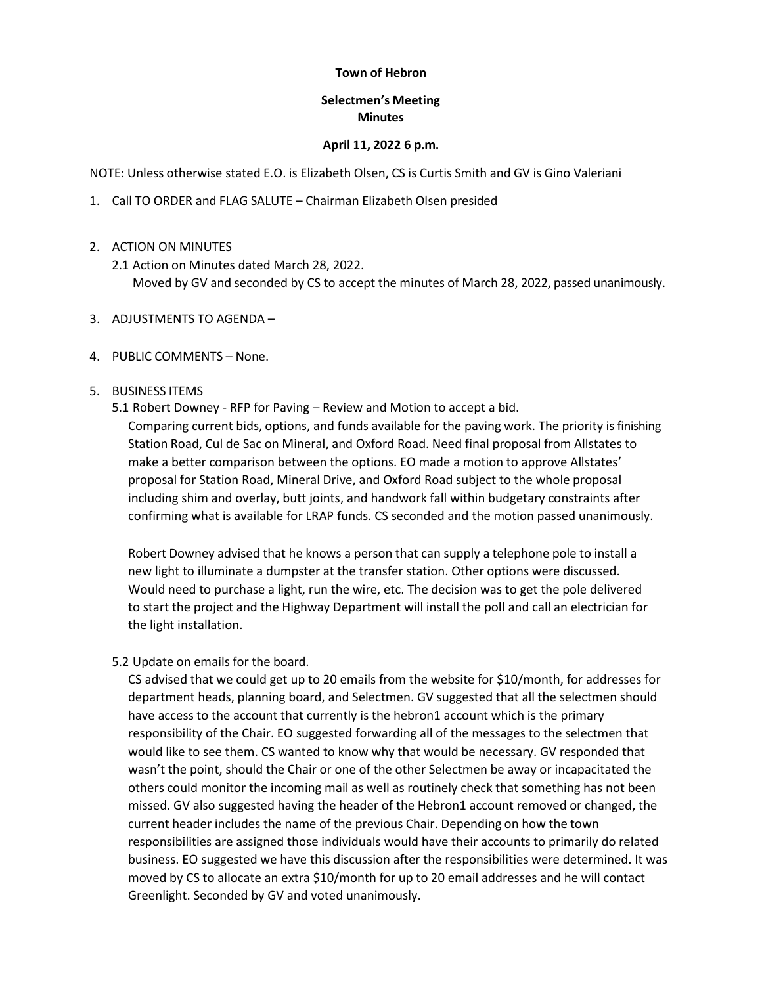### **Town of Hebron**

# **Selectmen's Meeting Minutes**

### **April 11, 2022 6 p.m.**

NOTE: Unless otherwise stated E.O. is Elizabeth Olsen, CS is Curtis Smith and GV is Gino Valeriani

- 1. Call TO ORDER and FLAG SALUTE Chairman Elizabeth Olsen presided
- 2. ACTION ON MINUTES
	- 2.1 Action on Minutes dated March 28, 2022. Moved by GV and seconded by CS to accept the minutes of March 28, 2022, passed unanimously.
- 3. ADJUSTMENTS TO AGENDA –

### 4. PUBLIC COMMENTS – None.

- 5. BUSINESS ITEMS
	- 5.1 Robert Downey RFP for Paving Review and Motion to accept a bid. Comparing current bids, options, and funds available for the paving work. The priority is finishing

Station Road, Cul de Sac on Mineral, and Oxford Road. Need final proposal from Allstates to make a better comparison between the options. EO made a motion to approve Allstates' proposal for Station Road, Mineral Drive, and Oxford Road subject to the whole proposal including shim and overlay, butt joints, and handwork fall within budgetary constraints after confirming what is available for LRAP funds. CS seconded and the motion passed unanimously.

Robert Downey advised that he knows a person that can supply a telephone pole to install a new light to illuminate a dumpster at the transfer station. Other options were discussed. Would need to purchase a light, run the wire, etc. The decision was to get the pole delivered to start the project and the Highway Department will install the poll and call an electrician for the light installation.

5.2 Update on emails for the board.

CS advised that we could get up to 20 emails from the website for \$10/month, for addresses for department heads, planning board, and Selectmen. GV suggested that all the selectmen should have access to the account that currently is the hebron1 account which is the primary responsibility of the Chair. EO suggested forwarding all of the messages to the selectmen that would like to see them. CS wanted to know why that would be necessary. GV responded that wasn't the point, should the Chair or one of the other Selectmen be away or incapacitated the others could monitor the incoming mail as well as routinely check that something has not been missed. GV also suggested having the header of the Hebron1 account removed or changed, the current header includes the name of the previous Chair. Depending on how the town responsibilities are assigned those individuals would have their accounts to primarily do related business. EO suggested we have this discussion after the responsibilities were determined. It was moved by CS to allocate an extra \$10/month for up to 20 email addresses and he will contact Greenlight. Seconded by GV and voted unanimously.